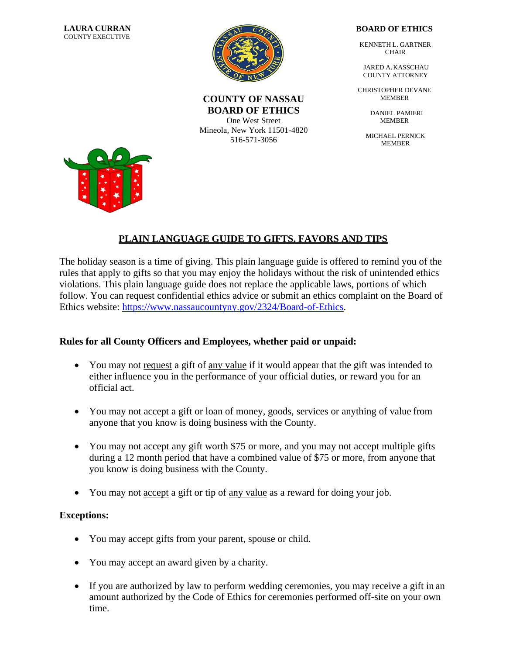

#### **COUNTY OF NASSAU BOARD OF ETHICS**

One West Street Mineola, New York 11501-4820 516-571-3056

#### **BOARD OF ETHICS**

KENNETH L. GARTNER CHAIR

JARED A. KASSCHAU COUNTY ATTORNEY

CHRISTOPHER DEVANE MEMBER

> DANIEL PAMIERI MEMBER

MICHAEL PERNICK **MEMBER** 



# **PLAIN LANGUAGE GUIDE TO GIFTS, FAVORS AND TIPS**

The holiday season is a time of giving. This plain language guide is offered to remind you of the rules that apply to gifts so that you may enjoy the holidays without the risk of unintended ethics violations. This plain language guide does not replace the applicable laws, portions of which follow. You can request confidential ethics advice or submit an ethics complaint on the Board of Ethics website: [https://www.nassaucountyny.gov/2324/Board-of-Ethics.](https://www.nassaucountyny.gov/2324/Board-of-Ethics)

# **Rules for all County Officers and Employees, whether paid or unpaid:**

- You may not request a gift of any value if it would appear that the gift was intended to either influence you in the performance of your official duties, or reward you for an official act.
- You may not accept a gift or loan of money, goods, services or anything of value from anyone that you know is doing business with the County.
- You may not accept any gift worth \$75 or more, and you may not accept multiple gifts during a 12 month period that have a combined value of \$75 or more, from anyone that you know is doing business with the County.
- You may not accept a gift or tip of any value as a reward for doing your job.

# **Exceptions:**

- You may accept gifts from your parent, spouse or child.
- You may accept an award given by a charity.
- If you are authorized by law to perform wedding ceremonies, you may receive a gift in an amount authorized by the Code of Ethics for ceremonies performed off-site on your own time.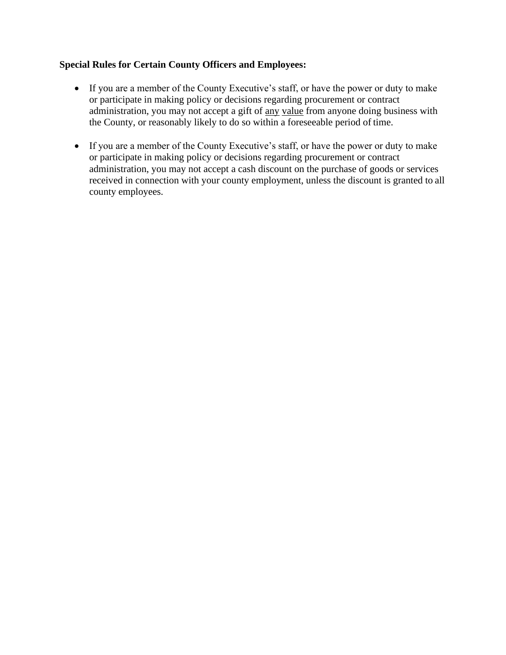#### **Special Rules for Certain County Officers and Employees:**

- If you are a member of the County Executive's staff, or have the power or duty to make or participate in making policy or decisions regarding procurement or contract administration, you may not accept a gift of any value from anyone doing business with the County, or reasonably likely to do so within a foreseeable period of time.
- If you are a member of the County Executive's staff, or have the power or duty to make or participate in making policy or decisions regarding procurement or contract administration, you may not accept a cash discount on the purchase of goods or services received in connection with your county employment, unless the discount is granted to all county employees.